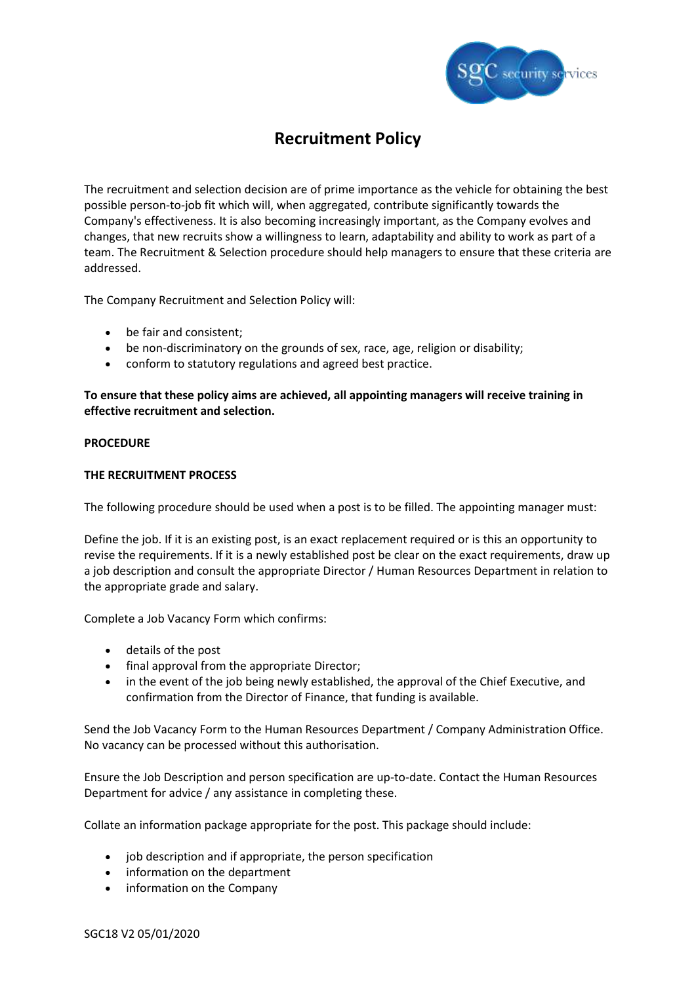

# **Recruitment Policy**

The recruitment and selection decision are of prime importance as the vehicle for obtaining the best possible person-to-job fit which will, when aggregated, contribute significantly towards the Company's effectiveness. It is also becoming increasingly important, as the Company evolves and changes, that new recruits show a willingness to learn, adaptability and ability to work as part of a team. The Recruitment & Selection procedure should help managers to ensure that these criteria are addressed.

The Company Recruitment and Selection Policy will:

- be fair and consistent;
- be non-discriminatory on the grounds of sex, race, age, religion or disability;
- conform to statutory regulations and agreed best practice.

**To ensure that these policy aims are achieved, all appointing managers will receive training in effective recruitment and selection.**

## **PROCEDURE**

## **THE RECRUITMENT PROCESS**

The following procedure should be used when a post is to be filled. The appointing manager must:

Define the job. If it is an existing post, is an exact replacement required or is this an opportunity to revise the requirements. If it is a newly established post be clear on the exact requirements, draw up a job description and consult the appropriate Director / Human Resources Department in relation to the appropriate grade and salary.

Complete a Job Vacancy Form which confirms:

- details of the post
- final approval from the appropriate Director;
- in the event of the job being newly established, the approval of the Chief Executive, and confirmation from the Director of Finance, that funding is available.

Send the Job Vacancy Form to the Human Resources Department / Company Administration Office. No vacancy can be processed without this authorisation.

Ensure the Job Description and person specification are up-to-date. Contact the Human Resources Department for advice / any assistance in completing these.

Collate an information package appropriate for the post. This package should include:

- job description and if appropriate, the person specification
- information on the department
- information on the Company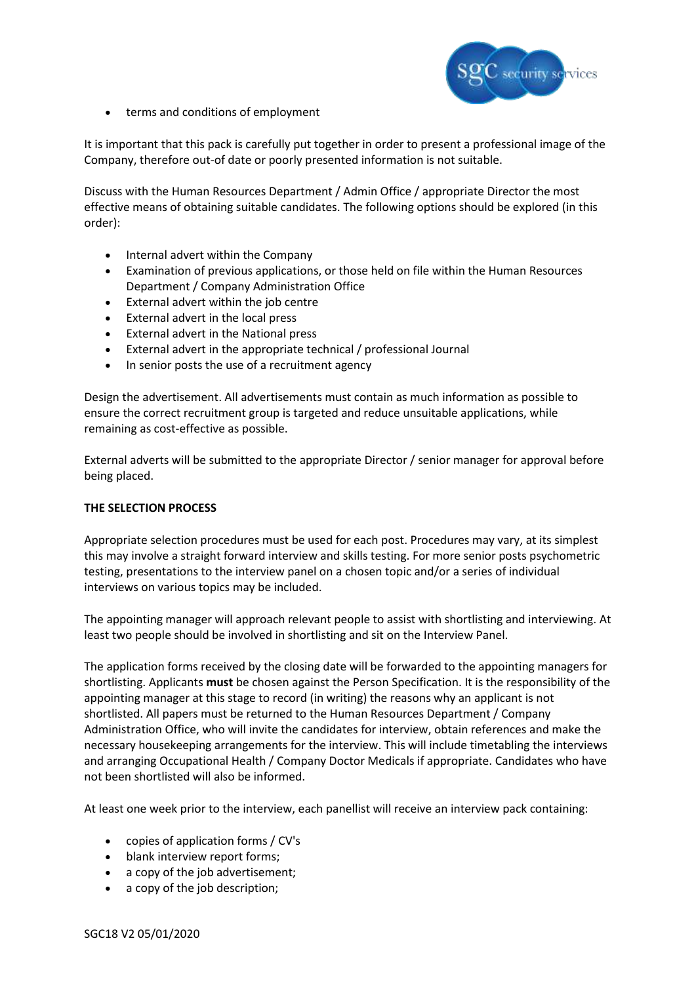

• terms and conditions of employment

It is important that this pack is carefully put together in order to present a professional image of the Company, therefore out-of date or poorly presented information is not suitable.

Discuss with the Human Resources Department / Admin Office / appropriate Director the most effective means of obtaining suitable candidates. The following options should be explored (in this order):

- Internal advert within the Company
- Examination of previous applications, or those held on file within the Human Resources Department / Company Administration Office
- External advert within the job centre
- External advert in the local press
- External advert in the National press
- External advert in the appropriate technical / professional Journal
- In senior posts the use of a recruitment agency

Design the advertisement. All advertisements must contain as much information as possible to ensure the correct recruitment group is targeted and reduce unsuitable applications, while remaining as cost-effective as possible.

External adverts will be submitted to the appropriate Director / senior manager for approval before being placed.

## **THE SELECTION PROCESS**

Appropriate selection procedures must be used for each post. Procedures may vary, at its simplest this may involve a straight forward interview and skills testing. For more senior posts psychometric testing, presentations to the interview panel on a chosen topic and/or a series of individual interviews on various topics may be included.

The appointing manager will approach relevant people to assist with shortlisting and interviewing. At least two people should be involved in shortlisting and sit on the Interview Panel.

The application forms received by the closing date will be forwarded to the appointing managers for shortlisting. Applicants **must** be chosen against the Person Specification. It is the responsibility of the appointing manager at this stage to record (in writing) the reasons why an applicant is not shortlisted. All papers must be returned to the Human Resources Department / Company Administration Office, who will invite the candidates for interview, obtain references and make the necessary housekeeping arrangements for the interview. This will include timetabling the interviews and arranging Occupational Health / Company Doctor Medicals if appropriate. Candidates who have not been shortlisted will also be informed.

At least one week prior to the interview, each panellist will receive an interview pack containing:

- copies of application forms / CV's
- blank interview report forms;
- a copy of the job advertisement;
- a copy of the job description;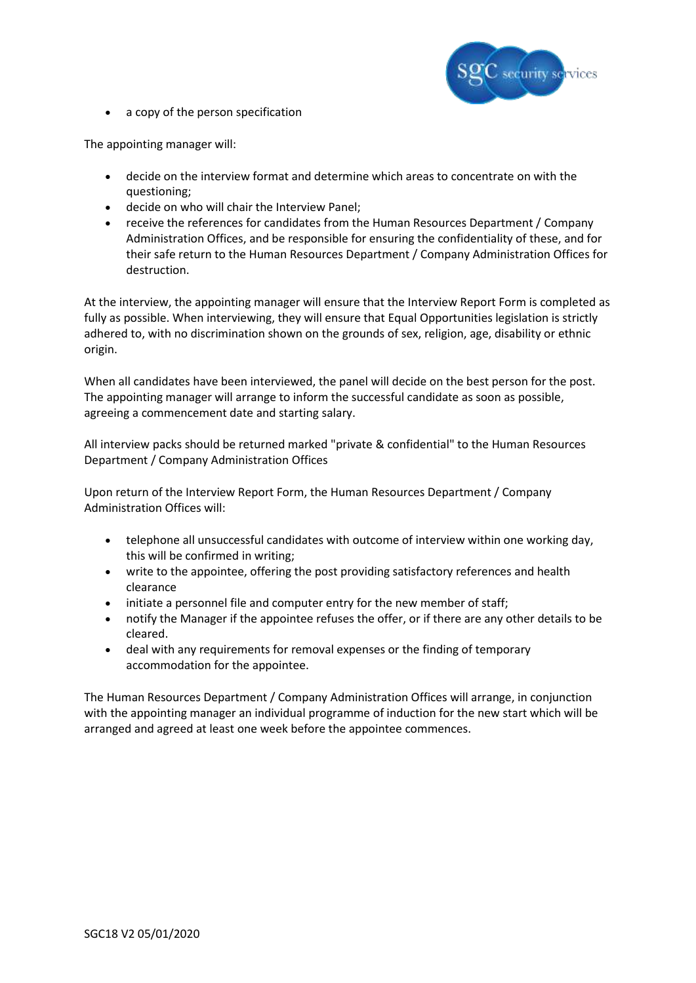

• a copy of the person specification

The appointing manager will:

- decide on the interview format and determine which areas to concentrate on with the questioning;
- decide on who will chair the Interview Panel;
- receive the references for candidates from the Human Resources Department / Company Administration Offices, and be responsible for ensuring the confidentiality of these, and for their safe return to the Human Resources Department / Company Administration Offices for destruction.

At the interview, the appointing manager will ensure that the Interview Report Form is completed as fully as possible. When interviewing, they will ensure that Equal Opportunities legislation is strictly adhered to, with no discrimination shown on the grounds of sex, religion, age, disability or ethnic origin.

When all candidates have been interviewed, the panel will decide on the best person for the post. The appointing manager will arrange to inform the successful candidate as soon as possible, agreeing a commencement date and starting salary.

All interview packs should be returned marked "private & confidential" to the Human Resources Department / Company Administration Offices

Upon return of the Interview Report Form, the Human Resources Department / Company Administration Offices will:

- telephone all unsuccessful candidates with outcome of interview within one working day, this will be confirmed in writing;
- write to the appointee, offering the post providing satisfactory references and health clearance
- initiate a personnel file and computer entry for the new member of staff;
- notify the Manager if the appointee refuses the offer, or if there are any other details to be cleared.
- deal with any requirements for removal expenses or the finding of temporary accommodation for the appointee.

The Human Resources Department / Company Administration Offices will arrange, in conjunction with the appointing manager an individual programme of induction for the new start which will be arranged and agreed at least one week before the appointee commences.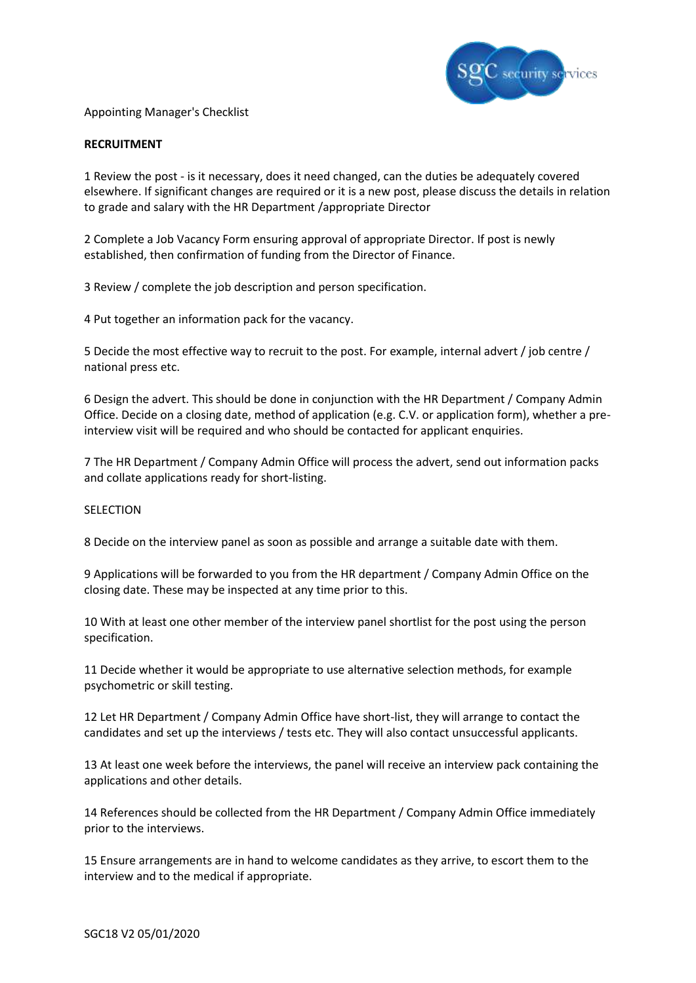

Appointing Manager's Checklist

#### **RECRUITMENT**

1 Review the post - is it necessary, does it need changed, can the duties be adequately covered elsewhere. If significant changes are required or it is a new post, please discuss the details in relation to grade and salary with the HR Department /appropriate Director

2 Complete a Job Vacancy Form ensuring approval of appropriate Director. If post is newly established, then confirmation of funding from the Director of Finance.

3 Review / complete the job description and person specification.

4 Put together an information pack for the vacancy.

5 Decide the most effective way to recruit to the post. For example, internal advert / job centre / national press etc.

6 Design the advert. This should be done in conjunction with the HR Department / Company Admin Office. Decide on a closing date, method of application (e.g. C.V. or application form), whether a preinterview visit will be required and who should be contacted for applicant enquiries.

7 The HR Department / Company Admin Office will process the advert, send out information packs and collate applications ready for short-listing.

#### **SELECTION**

8 Decide on the interview panel as soon as possible and arrange a suitable date with them.

9 Applications will be forwarded to you from the HR department / Company Admin Office on the closing date. These may be inspected at any time prior to this.

10 With at least one other member of the interview panel shortlist for the post using the person specification.

11 Decide whether it would be appropriate to use alternative selection methods, for example psychometric or skill testing.

12 Let HR Department / Company Admin Office have short-list, they will arrange to contact the candidates and set up the interviews / tests etc. They will also contact unsuccessful applicants.

13 At least one week before the interviews, the panel will receive an interview pack containing the applications and other details.

14 References should be collected from the HR Department / Company Admin Office immediately prior to the interviews.

15 Ensure arrangements are in hand to welcome candidates as they arrive, to escort them to the interview and to the medical if appropriate.